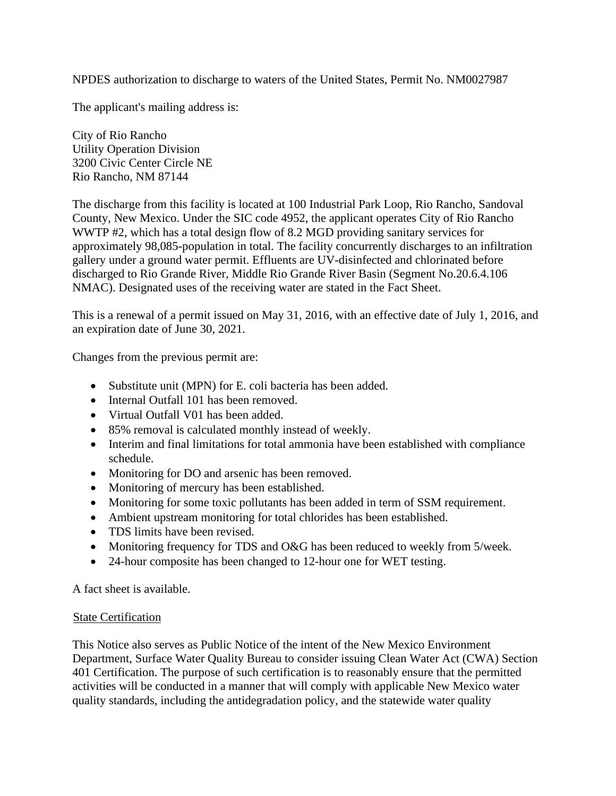NPDES authorization to discharge to waters of the United States, Permit No. NM0027987

The applicant's mailing address is:

City of Rio Rancho Utility Operation Division 3200 Civic Center Circle NE Rio Rancho, NM 87144

The discharge from this facility is located at 100 Industrial Park Loop, Rio Rancho, Sandoval County, New Mexico. Under the SIC code 4952, the applicant operates City of Rio Rancho WWTP #2, which has a total design flow of 8.2 MGD providing sanitary services for approximately 98,085-population in total. The facility concurrently discharges to an infiltration gallery under a ground water permit. Effluents are UV-disinfected and chlorinated before discharged to Rio Grande River, Middle Rio Grande River Basin (Segment No.20.6.4.106 NMAC). Designated uses of the receiving water are stated in the Fact Sheet.

This is a renewal of a permit issued on May 31, 2016, with an effective date of July 1, 2016, and an expiration date of June 30, 2021.

Changes from the previous permit are:

- Substitute unit (MPN) for E. coli bacteria has been added.
- Internal Outfall 101 has been removed.
- Virtual Outfall V01 has been added.
- 85% removal is calculated monthly instead of weekly.
- Interim and final limitations for total ammonia have been established with compliance schedule.
- Monitoring for DO and arsenic has been removed.
- Monitoring of mercury has been established.
- Monitoring for some toxic pollutants has been added in term of SSM requirement.
- Ambient upstream monitoring for total chlorides has been established.
- TDS limits have been revised.
- Monitoring frequency for TDS and O&G has been reduced to weekly from 5/week.
- 24-hour composite has been changed to 12-hour one for WET testing.

A fact sheet is available.

## **State Certification**

This Notice also serves as Public Notice of the intent of the New Mexico Environment Department, Surface Water Quality Bureau to consider issuing Clean Water Act (CWA) Section 401 Certification. The purpose of such certification is to reasonably ensure that the permitted activities will be conducted in a manner that will comply with applicable New Mexico water quality standards, including the antidegradation policy, and the statewide water quality